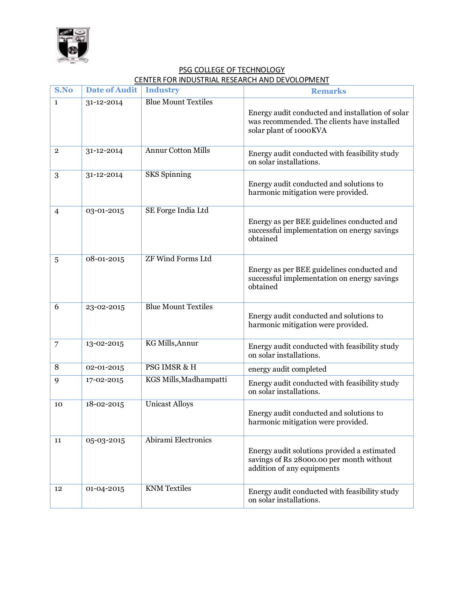

| S.No           | <b>Date of Audit</b> | <b>Industry</b>            | <b>Remarks</b>                                                                                                            |
|----------------|----------------------|----------------------------|---------------------------------------------------------------------------------------------------------------------------|
| $\mathbf{1}$   | 31-12-2014           | <b>Blue Mount Textiles</b> | Energy audit conducted and installation of solar<br>was recommended. The clients have installed<br>solar plant of 1000KVA |
| $\overline{2}$ | 31-12-2014           | <b>Annur Cotton Mills</b>  | Energy audit conducted with feasibility study<br>on solar installations.                                                  |
| 3              | 31-12-2014           | <b>SKS</b> Spinning        | Energy audit conducted and solutions to<br>harmonic mitigation were provided.                                             |
| $\overline{4}$ | 03-01-2015           | SE Forge India Ltd         | Energy as per BEE guidelines conducted and<br>successful implementation on energy savings<br>obtained                     |
| 5              | 08-01-2015           | <b>ZF Wind Forms Ltd</b>   | Energy as per BEE guidelines conducted and<br>successful implementation on energy savings<br>obtained                     |
| 6              | 23-02-2015           | <b>Blue Mount Textiles</b> | Energy audit conducted and solutions to<br>harmonic mitigation were provided.                                             |
| 7              | 13-02-2015           | KG Mills, Annur            | Energy audit conducted with feasibility study<br>on solar installations.                                                  |
| 8              | 02-01-2015           | <b>PSG IMSR &amp; H</b>    | energy audit completed                                                                                                    |
| 9              | 17-02-2015           | KGS Mills, Madhampatti     | Energy audit conducted with feasibility study<br>on solar installations.                                                  |
| 10             | 18-02-2015           | <b>Unicast Alloys</b>      | Energy audit conducted and solutions to<br>harmonic mitigation were provided.                                             |
| 11             | 05-03-2015           | Abirami Electronics        | Energy audit solutions provided a estimated<br>savings of Rs 28000.00 per month without<br>addition of any equipments     |
| 12             | 01-04-2015           | <b>KNM</b> Textiles        | Energy audit conducted with feasibility study<br>on solar installations.                                                  |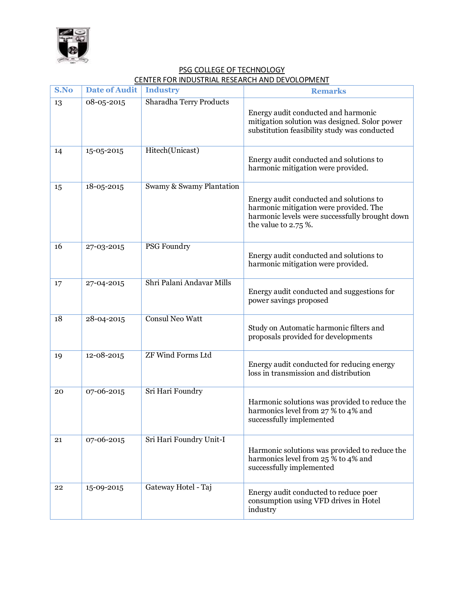

| S.No | <b>Date of Audit</b> | <b>Industry</b>           | <b>Remarks</b>                                                                                                                                              |
|------|----------------------|---------------------------|-------------------------------------------------------------------------------------------------------------------------------------------------------------|
| 13   | 08-05-2015           | Sharadha Terry Products   | Energy audit conducted and harmonic<br>mitigation solution was designed. Solor power<br>substitution feasibility study was conducted                        |
| 14   | 15-05-2015           | Hitech(Unicast)           | Energy audit conducted and solutions to<br>harmonic mitigation were provided.                                                                               |
| 15   | $18 - 05 - 2015$     | Swamy & Swamy Plantation  | Energy audit conducted and solutions to<br>harmonic mitigation were provided. The<br>harmonic levels were successfully brought down<br>the value to 2.75 %. |
| 16   | 27-03-2015           | <b>PSG Foundry</b>        | Energy audit conducted and solutions to<br>harmonic mitigation were provided.                                                                               |
| 17   | 27-04-2015           | Shri Palani Andavar Mills | Energy audit conducted and suggestions for<br>power savings proposed                                                                                        |
| 18   | $28 - 04 - 2015$     | <b>Consul Neo Watt</b>    | Study on Automatic harmonic filters and<br>proposals provided for developments                                                                              |
| 19   | 12-08-2015           | <b>ZF Wind Forms Ltd</b>  | Energy audit conducted for reducing energy<br>loss in transmission and distribution                                                                         |
| 20   | 07-06-2015           | Sri Hari Foundry          | Harmonic solutions was provided to reduce the<br>harmonics level from 27 % to 4% and<br>successfully implemented                                            |
| 21   | 07-06-2015           | Sri Hari Foundry Unit-I   | Harmonic solutions was provided to reduce the<br>harmonics level from 25 % to 4% and<br>successfully implemented                                            |
| 22   | 15-09-2015           | Gateway Hotel - Taj       | Energy audit conducted to reduce poer<br>consumption using VFD drives in Hotel<br>industry                                                                  |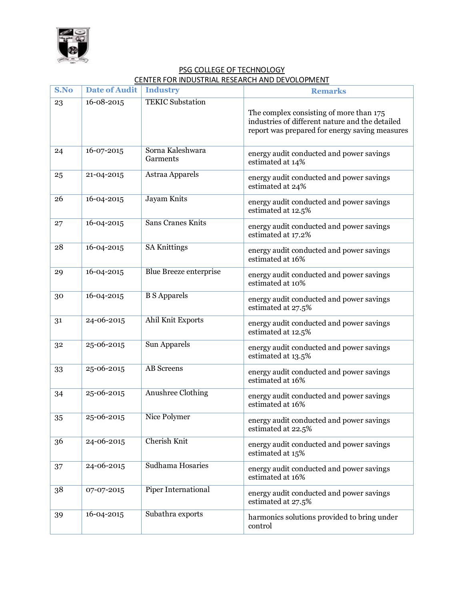

| $\overline{\mathbf{S}.\mathbf{No}}$ | <b>Date of Audit</b> | <b>Industry</b>              | <b>Remarks</b>                                                                                                                               |  |
|-------------------------------------|----------------------|------------------------------|----------------------------------------------------------------------------------------------------------------------------------------------|--|
| 23                                  | 16-08-2015           | <b>TEKIC Substation</b>      | The complex consisting of more than 175<br>industries of different nature and the detailed<br>report was prepared for energy saving measures |  |
| 24                                  | 16-07-2015           | Sorna Kaleshwara<br>Garments | energy audit conducted and power savings<br>estimated at 14%                                                                                 |  |
| 25                                  | 21-04-2015           | Astraa Apparels              | energy audit conducted and power savings<br>estimated at 24%                                                                                 |  |
| 26                                  | 16-04-2015           | Jayam Knits                  | energy audit conducted and power savings<br>estimated at 12.5%                                                                               |  |
| 27                                  | 16-04-2015           | <b>Sans Cranes Knits</b>     | energy audit conducted and power savings<br>estimated at 17.2%                                                                               |  |
| 28                                  | 16-04-2015           | <b>SA Knittings</b>          | energy audit conducted and power savings<br>estimated at 16%                                                                                 |  |
| 29                                  | 16-04-2015           | Blue Breeze enterprise       | energy audit conducted and power savings<br>estimated at 10%                                                                                 |  |
| 30                                  | 16-04-2015           | <b>B</b> S Apparels          | energy audit conducted and power savings<br>estimated at 27.5%                                                                               |  |
| 31                                  | 24-06-2015           | Ahil Knit Exports            | energy audit conducted and power savings<br>estimated at 12.5%                                                                               |  |
| 32                                  | 25-06-2015           | Sun Apparels                 | energy audit conducted and power savings<br>estimated at 13.5%                                                                               |  |
| 33                                  | 25-06-2015           | <b>AB</b> Screens            | energy audit conducted and power savings<br>estimated at 16%                                                                                 |  |
| 34                                  | 25-06-2015           | Anushree Clothing            | energy audit conducted and power savings<br>estimated at 16%                                                                                 |  |
| 35                                  | 25-06-2015           | Nice Polymer                 | energy audit conducted and power savings<br>estimated at 22.5%                                                                               |  |
| 36                                  | 24-06-2015           | <b>Cherish Knit</b>          | energy audit conducted and power savings<br>estimated at 15%                                                                                 |  |
| 37                                  | 24-06-2015           | Sudhama Hosaries             | energy audit conducted and power savings<br>estimated at 16%                                                                                 |  |
| 38                                  | 07-07-2015           | <b>Piper International</b>   | energy audit conducted and power savings<br>estimated at 27.5%                                                                               |  |
| 39                                  | 16-04-2015           | Subathra exports             | harmonics solutions provided to bring under<br>control                                                                                       |  |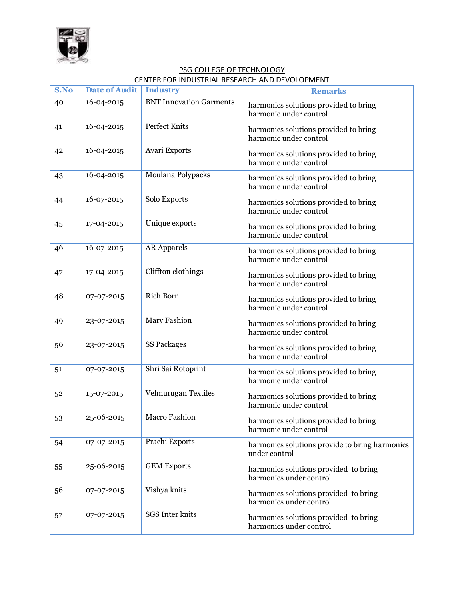

| $\overline{\mathbf{S}.\mathbf{No}}$ | <b>Date of Audit</b> | <b>Industry</b>                | <b>Remarks</b>                                                   |
|-------------------------------------|----------------------|--------------------------------|------------------------------------------------------------------|
| 40                                  | 16-04-2015           | <b>BNT</b> Innovation Garments | harmonics solutions provided to bring<br>harmonic under control  |
| 41                                  | 16-04-2015           | <b>Perfect Knits</b>           | harmonics solutions provided to bring<br>harmonic under control  |
| 42                                  | 16-04-2015           | Avari Exports                  | harmonics solutions provided to bring<br>harmonic under control  |
| 43                                  | 16-04-2015           | Moulana Polypacks              | harmonics solutions provided to bring<br>harmonic under control  |
| 44                                  | 16-07-2015           | Solo Exports                   | harmonics solutions provided to bring<br>harmonic under control  |
| 45                                  | 17-04-2015           | Unique exports                 | harmonics solutions provided to bring<br>harmonic under control  |
| 46                                  | 16-07-2015           | <b>AR Apparels</b>             | harmonics solutions provided to bring<br>harmonic under control  |
| 47                                  | 17-04-2015           | Cliffton clothings             | harmonics solutions provided to bring<br>harmonic under control  |
| 48                                  | 07-07-2015           | <b>Rich Born</b>               | harmonics solutions provided to bring<br>harmonic under control  |
| 49                                  | 23-07-2015           | <b>Mary Fashion</b>            | harmonics solutions provided to bring<br>harmonic under control  |
| 50                                  | 23-07-2015           | <b>SS Packages</b>             | harmonics solutions provided to bring<br>harmonic under control  |
| 51                                  | 07-07-2015           | Shri Sai Rotoprint             | harmonics solutions provided to bring<br>harmonic under control  |
| 52                                  | 15-07-2015           | Velmurugan Textiles            | harmonics solutions provided to bring<br>harmonic under control  |
| 53                                  | 25-06-2015           | <b>Macro Fashion</b>           | harmonics solutions provided to bring<br>harmonic under control  |
| 54                                  | 07-07-2015           | Prachi Exports                 | harmonics solutions provide to bring harmonics<br>under control  |
| 55                                  | 25-06-2015           | <b>GEM Exports</b>             | harmonics solutions provided to bring<br>harmonics under control |
| 56                                  | 07-07-2015           | Vishya knits                   | harmonics solutions provided to bring<br>harmonics under control |
| 57                                  | 07-07-2015           | SGS Inter knits                | harmonics solutions provided to bring<br>harmonics under control |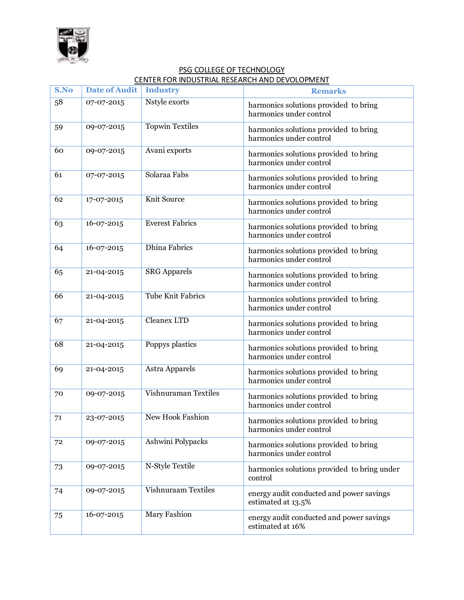

| S.No | <b>Date of Audit</b> | <b>Industry</b>             | <b>Remarks</b>                                                   |
|------|----------------------|-----------------------------|------------------------------------------------------------------|
| 58   | 07-07-2015           | Nstyle exorts               | harmonics solutions provided to bring<br>harmonics under control |
| 59   | 09-07-2015           | <b>Topwin Textiles</b>      | harmonics solutions provided to bring<br>harmonics under control |
| 60   | 09-07-2015           | Avani exports               | harmonics solutions provided to bring<br>harmonics under control |
| 61   | 07-07-2015           | Solaraa Fabs                | harmonics solutions provided to bring<br>harmonics under control |
| 62   | 17-07-2015           | <b>Knit Source</b>          | harmonics solutions provided to bring<br>harmonics under control |
| 63   | 16-07-2015           | <b>Everest Fabrics</b>      | harmonics solutions provided to bring<br>harmonics under control |
| 64   | 16-07-2015           | <b>Dhina Fabrics</b>        | harmonics solutions provided to bring<br>harmonics under control |
| 65   | 21-04-2015           | <b>SRG</b> Apparels         | harmonics solutions provided to bring<br>harmonics under control |
| 66   | 21-04-2015           | <b>Tube Knit Fabrics</b>    | harmonics solutions provided to bring<br>harmonics under control |
| 67   | 21-04-2015           | <b>Cleanex LTD</b>          | harmonics solutions provided to bring<br>harmonics under control |
| 68   | 21-04-2015           | Poppys plastics             | harmonics solutions provided to bring<br>harmonics under control |
| 69   | 21-04-2015           | <b>Astra Apparels</b>       | harmonics solutions provided to bring<br>harmonics under control |
| 70   | 09-07-2015           | <b>Vishnuraman Textiles</b> | harmonics solutions provided to bring<br>harmonics under control |
| 71   | 23-07-2015           | <b>New Hook Fashion</b>     | harmonics solutions provided to bring<br>harmonics under control |
| 72   | 09-07-2015           | Ashwini Polypacks           | harmonics solutions provided to bring<br>harmonics under control |
| 73   | 09-07-2015           | N-Style Textile             | harmonics solutions provided to bring under<br>control           |
| 74   | 09-07-2015           | <b>Vishnuraam Textiles</b>  | energy audit conducted and power savings<br>estimated at 13.5%   |
| 75   | 16-07-2015           | <b>Mary Fashion</b>         | energy audit conducted and power savings<br>estimated at 16%     |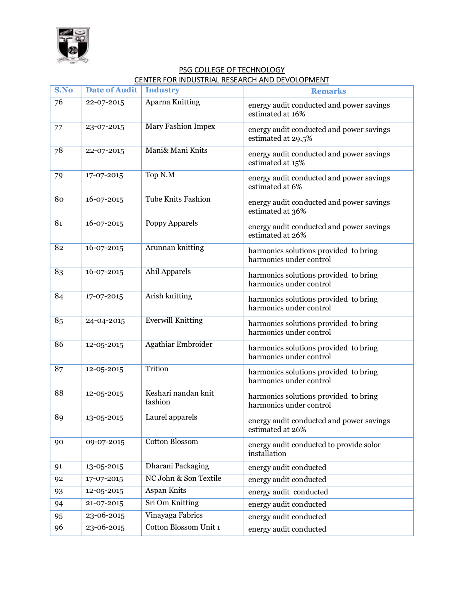

| S.No | <b>Date of Audit</b> | <b>Industry</b>                | <b>Remarks</b>                                                   |
|------|----------------------|--------------------------------|------------------------------------------------------------------|
| 76   | 22-07-2015           | Aparna Knitting                | energy audit conducted and power savings<br>estimated at 16%     |
| 77   | 23-07-2015           | <b>Mary Fashion Impex</b>      | energy audit conducted and power savings<br>estimated at 29.5%   |
| 78   | 22-07-2015           | Mani& Mani Knits               | energy audit conducted and power savings<br>estimated at 15%     |
| 79   | 17-07-2015           | Top N.M                        | energy audit conducted and power savings<br>estimated at 6%      |
| 80   | 16-07-2015           | <b>Tube Knits Fashion</b>      | energy audit conducted and power savings<br>estimated at 36%     |
| 81   | 16-07-2015           | Poppy Apparels                 | energy audit conducted and power savings<br>estimated at 26%     |
| 82   | 16-07-2015           | Arunnan knitting               | harmonics solutions provided to bring<br>harmonics under control |
| 83   | 16-07-2015           | <b>Ahil Apparels</b>           | harmonics solutions provided to bring<br>harmonics under control |
| 84   | 17-07-2015           | Arish knitting                 | harmonics solutions provided to bring<br>harmonics under control |
| 85   | 24-04-2015           | <b>Everwill Knitting</b>       | harmonics solutions provided to bring<br>harmonics under control |
| 86   | 12-05-2015           | <b>Agathiar Embroider</b>      | harmonics solutions provided to bring<br>harmonics under control |
| 87   | 12-05-2015           | Trition                        | harmonics solutions provided to bring<br>harmonics under control |
| 88   | 12-05-2015           | Keshari nandan knit<br>fashion | harmonics solutions provided to bring<br>harmonics under control |
| 89   | 13-05-2015           | Laurel apparels                | energy audit conducted and power savings<br>estimated at 26%     |
| 90   | 09-07-2015           | <b>Cotton Blossom</b>          | energy audit conducted to provide solor<br>installation          |
| 91   | 13-05-2015           | <b>Dharani Packaging</b>       | energy audit conducted                                           |
| 92   | 17-07-2015           | NC John & Son Textile          | energy audit conducted                                           |
| 93   | 12-05-2015           | Aspan Knits                    | energy audit conducted                                           |
| 94   | 21-07-2015           | Sri Om Knitting                | energy audit conducted                                           |
| 95   | 23-06-2015           | Vinayaga Fabrics               | energy audit conducted                                           |
| 96   | 23-06-2015           | <b>Cotton Blossom Unit 1</b>   | energy audit conducted                                           |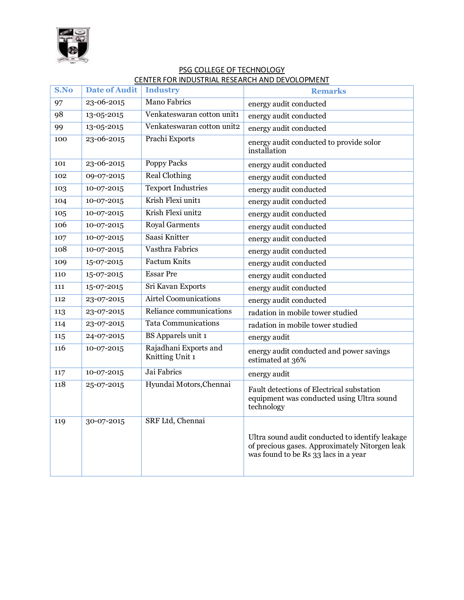

| S.No | <b>Date of Audit</b> | <b>Industry</b>                          | <b>Remarks</b>                                                                                       |
|------|----------------------|------------------------------------------|------------------------------------------------------------------------------------------------------|
| 97   | 23-06-2015           | <b>Mano Fabrics</b>                      | energy audit conducted                                                                               |
| 98   | 13-05-2015           | Venkateswaran cotton unit1               | energy audit conducted                                                                               |
| 99   | 13-05-2015           | Venkateswaran cotton unit2               | energy audit conducted                                                                               |
| 100  | 23-06-2015           | Prachi Exports                           | energy audit conducted to provide solor<br>installation                                              |
| 101  | 23-06-2015           | <b>Poppy Packs</b>                       | energy audit conducted                                                                               |
| 102  | 09-07-2015           | <b>Real Clothing</b>                     | energy audit conducted                                                                               |
| 103  | 10-07-2015           | <b>Texport Industries</b>                | energy audit conducted                                                                               |
| 104  | 10-07-2015           | Krish Flexi unit1                        | energy audit conducted                                                                               |
| 105  | 10-07-2015           | Krish Flexi unit2                        | energy audit conducted                                                                               |
| 106  | 10-07-2015           | <b>Royal Garments</b>                    | energy audit conducted                                                                               |
| 107  | 10-07-2015           | Saasi Knitter                            | energy audit conducted                                                                               |
| 108  | 10-07-2015           | <b>Vasthra Fabrics</b>                   | energy audit conducted                                                                               |
| 109  | 15-07-2015           | <b>Factum Knits</b>                      | energy audit conducted                                                                               |
| 110  | 15-07-2015           | <b>Essar Pre</b>                         | energy audit conducted                                                                               |
| 111  | 15-07-2015           | Sri Kavan Exports                        | energy audit conducted                                                                               |
| 112  | 23-07-2015           | <b>Airtel Coomunications</b>             | energy audit conducted                                                                               |
| 113  | 23-07-2015           | Reliance communications                  | radation in mobile tower studied                                                                     |
| 114  | 23-07-2015           | <b>Tata Communications</b>               | radation in mobile tower studied                                                                     |
| 115  | 24-07-2015           | <b>BS</b> Apparels unit 1                | energy audit                                                                                         |
| 116  | 10-07-2015           | Rajadhani Exports and<br>Knitting Unit 1 | energy audit conducted and power savings<br>estimated at 36%                                         |
| 117  | 10-07-2015           | Jai Fabrics                              | energy audit                                                                                         |
| 118  | 25-07-2015           | Hyundai Motors, Chennai                  | Fault detections of Electrical substation<br>equipment was conducted using Ultra sound<br>technology |
| 119  | 30-07-2015           | SRF Ltd, Chennai                         | Ultra sound audit conducted to identify leakage<br>of precious gases. Approximately Nitorgen leak    |
|      |                      |                                          | was found to be Rs 33 lacs in a year                                                                 |